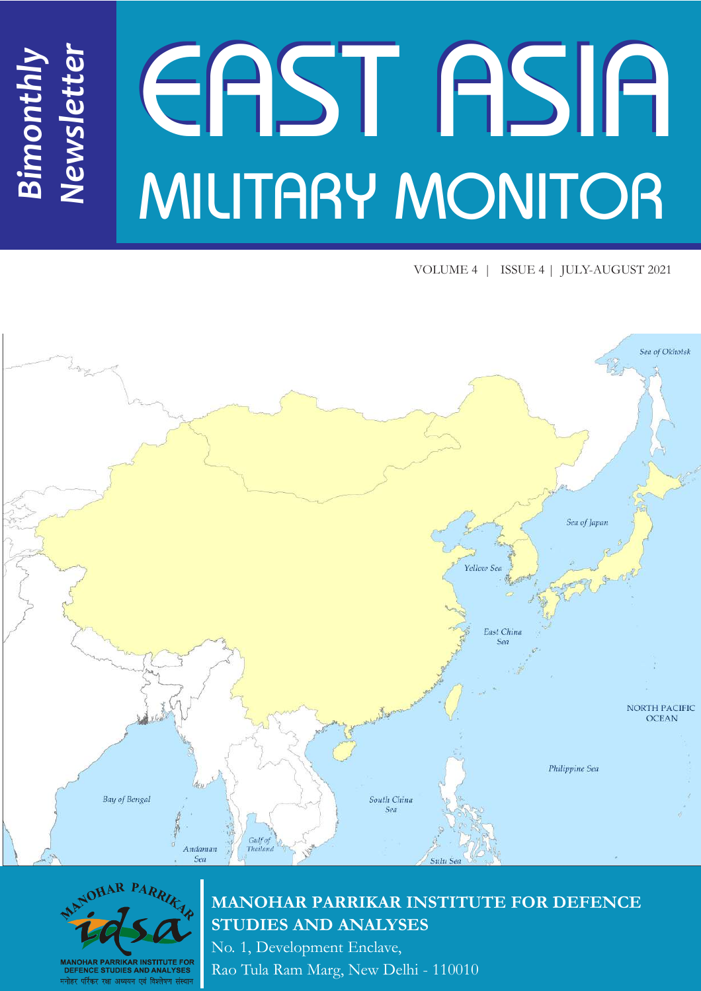# EAST ASIA MILITARY MONITOR *Newsletter*

VOLUME 4 | ISSUE 4 | JULY-AUGUST 2021





*Bimonthly*

# **MANOHAR PARRIKAR INSTITUTE FOR DEFENCE STUDIES AND ANALYSES**

No. 1, Development Enclave, Rao Tula Ram Marg, New Delhi - 110010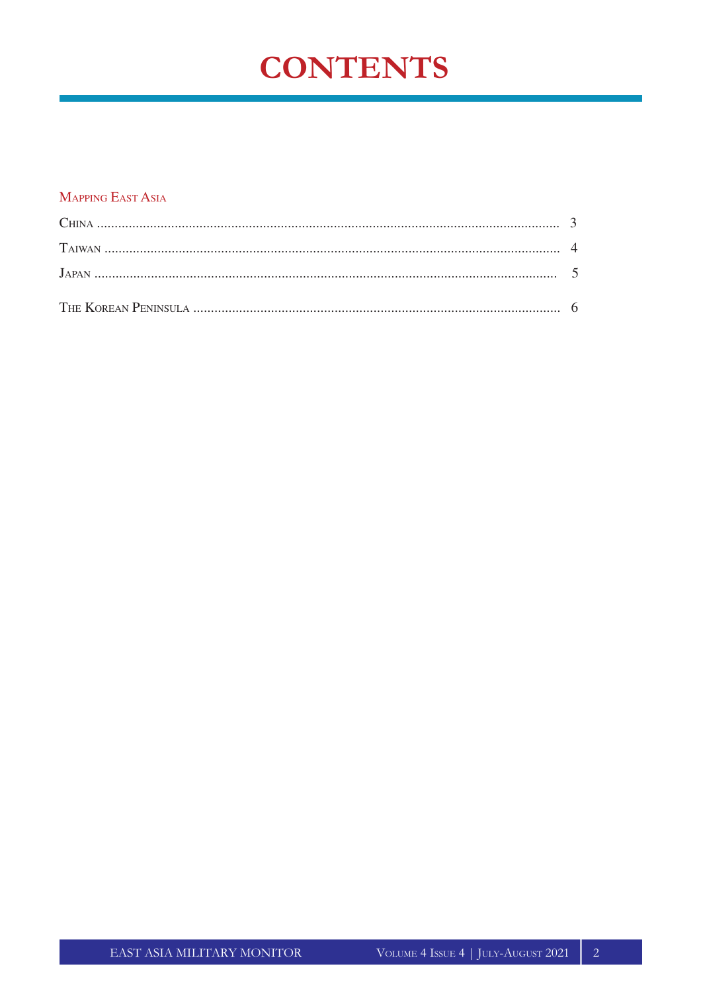# **CONTENTS**

#### **MAPPING EAST ASIA**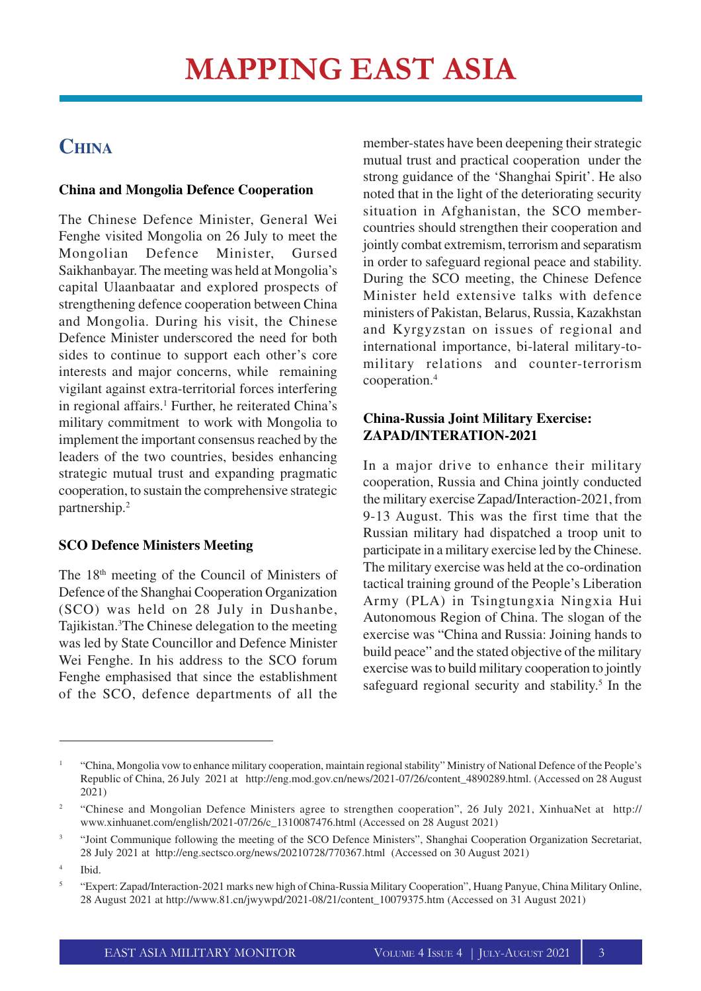# **CHINA**

#### **China and Mongolia Defence Cooperation**

The Chinese Defence Minister, General Wei Fenghe visited Mongolia on 26 July to meet the Mongolian Defence Minister, Gursed Saikhanbayar. The meeting was held at Mongolia's capital Ulaanbaatar and explored prospects of strengthening defence cooperation between China and Mongolia. During his visit, the Chinese Defence Minister underscored the need for both sides to continue to support each other's core interests and major concerns, while remaining vigilant against extra-territorial forces interfering in regional affairs.<sup>1</sup> Further, he reiterated China's military commitment to work with Mongolia to implement the important consensus reached by the leaders of the two countries, besides enhancing strategic mutual trust and expanding pragmatic cooperation, to sustain the comprehensive strategic partnership.<sup>2</sup>

## **SCO Defence Ministers Meeting**

The 18th meeting of the Council of Ministers of Defence of the Shanghai Cooperation Organization (SCO) was held on 28 July in Dushanbe, Tajikistan.<sup>3</sup>The Chinese delegation to the meeting was led by State Councillor and Defence Minister Wei Fenghe. In his address to the SCO forum Fenghe emphasised that since the establishment of the SCO, defence departments of all the

member-states have been deepening their strategic mutual trust and practical cooperation under the strong guidance of the 'Shanghai Spirit'. He also noted that in the light of the deteriorating security situation in Afghanistan, the SCO membercountries should strengthen their cooperation and jointly combat extremism, terrorism and separatism in order to safeguard regional peace and stability. During the SCO meeting, the Chinese Defence Minister held extensive talks with defence ministers of Pakistan, Belarus, Russia, Kazakhstan and Kyrgyzstan on issues of regional and international importance, bi-lateral military-tomilitary relations and counter-terrorism cooperation.<sup>4</sup>

## **China-Russia Joint Military Exercise: ZAPAD/INTERATION-2021**

In a major drive to enhance their military cooperation, Russia and China jointly conducted the military exercise Zapad/Interaction-2021, from 9-13 August. This was the first time that the Russian military had dispatched a troop unit to participate in a military exercise led by the Chinese. The military exercise was held at the co-ordination tactical training ground of the People's Liberation Army (PLA) in Tsingtungxia Ningxia Hui Autonomous Region of China. The slogan of the exercise was "China and Russia: Joining hands to build peace" and the stated objective of the military exercise was to build military cooperation to jointly safeguard regional security and stability. 5 In the

<sup>1</sup> "China, Mongolia vow to enhance military cooperation, maintain regional stability" Ministry of National Defence of the People's Republic of China, 26 July 2021 at http://eng.mod.gov.cn/news/2021-07/26/content\_4890289.html. (Accessed on 28 August 2021)

<sup>&</sup>lt;sup>2</sup> "Chinese and Mongolian Defence Ministers agree to strengthen cooperation", 26 July 2021, XinhuaNet at http:// www.xinhuanet.com/english/2021-07/26/c\_1310087476.html (Accessed on 28 August 2021)

<sup>3</sup> "Joint Communique following the meeting of the SCO Defence Ministers", Shanghai Cooperation Organization Secretariat, 28 July 2021 at http://eng.sectsco.org/news/20210728/770367.html (Accessed on 30 August 2021)

<sup>4</sup> Ibid.

<sup>5</sup> "Expert: Zapad/Interaction-2021 marks new high of China-Russia Military Cooperation", Huang Panyue, China Military Online, 28 August 2021 at http://www.81.cn/jwywpd/2021-08/21/content\_10079375.htm (Accessed on 31 August 2021)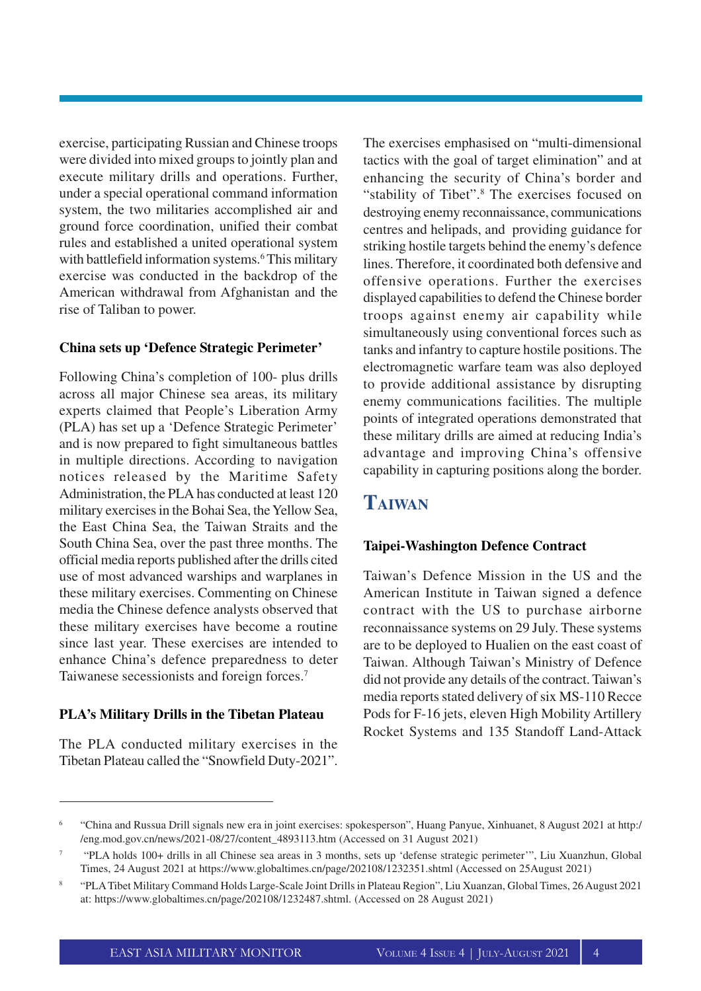exercise, participating Russian and Chinese troops were divided into mixed groups to jointly plan and execute military drills and operations. Further, under a special operational command information system, the two militaries accomplished air and ground force coordination, unified their combat rules and established a united operational system with battlefield information systems.<sup>6</sup> This military exercise was conducted in the backdrop of the American withdrawal from Afghanistan and the rise of Taliban to power.

#### **China sets up 'Defence Strategic Perimeter'**

Following China's completion of 100- plus drills across all major Chinese sea areas, its military experts claimed that People's Liberation Army (PLA) has set up a 'Defence Strategic Perimeter' and is now prepared to fight simultaneous battles in multiple directions. According to navigation notices released by the Maritime Safety Administration, the PLA has conducted at least 120 military exercises in the Bohai Sea, the Yellow Sea, the East China Sea, the Taiwan Straits and the South China Sea, over the past three months. The official media reports published after the drills cited use of most advanced warships and warplanes in these military exercises. Commenting on Chinese media the Chinese defence analysts observed that these military exercises have become a routine since last year. These exercises are intended to enhance China's defence preparedness to deter Taiwanese secessionists and foreign forces.<sup>7</sup>

#### **PLA's Military Drills in the Tibetan Plateau**

The PLA conducted military exercises in the Tibetan Plateau called the "Snowfield Duty-2021". The exercises emphasised on "multi-dimensional tactics with the goal of target elimination" and at enhancing the security of China's border and "stability of Tibet".<sup>8</sup> The exercises focused on destroying enemy reconnaissance, communications centres and helipads, and providing guidance for striking hostile targets behind the enemy's defence lines. Therefore, it coordinated both defensive and offensive operations. Further the exercises displayed capabilities to defend the Chinese border troops against enemy air capability while simultaneously using conventional forces such as tanks and infantry to capture hostile positions. The electromagnetic warfare team was also deployed to provide additional assistance by disrupting enemy communications facilities. The multiple points of integrated operations demonstrated that these military drills are aimed at reducing India's advantage and improving China's offensive capability in capturing positions along the border.

# **TAIWAN**

#### **Taipei-Washington Defence Contract**

Taiwan's Defence Mission in the US and the American Institute in Taiwan signed a defence contract with the US to purchase airborne reconnaissance systems on 29 July. These systems are to be deployed to Hualien on the east coast of Taiwan. Although Taiwan's Ministry of Defence did not provide any details of the contract. Taiwan's media reports stated delivery of six MS-110 Recce Pods for F-16 jets, eleven High Mobility Artillery Rocket Systems and 135 Standoff Land-Attack

<sup>6</sup> "China and Russua Drill signals new era in joint exercises: spokesperson", Huang Panyue, Xinhuanet, 8 August 2021 at http:/ /eng.mod.gov.cn/news/2021-08/27/content\_4893113.htm (Accessed on 31 August 2021)

<sup>7</sup> "PLA holds 100+ drills in all Chinese sea areas in 3 months, sets up 'defense strategic perimeter'", Liu Xuanzhun, Global Times, 24 August 2021 at https://www.globaltimes.cn/page/202108/1232351.shtml (Accessed on 25August 2021)

<sup>8</sup> "PLA Tibet Military Command Holds Large-Scale Joint Drills in Plateau Region", Liu Xuanzan, Global Times, 26 August 2021 at: https://www.globaltimes.cn/page/202108/1232487.shtml. (Accessed on 28 August 2021)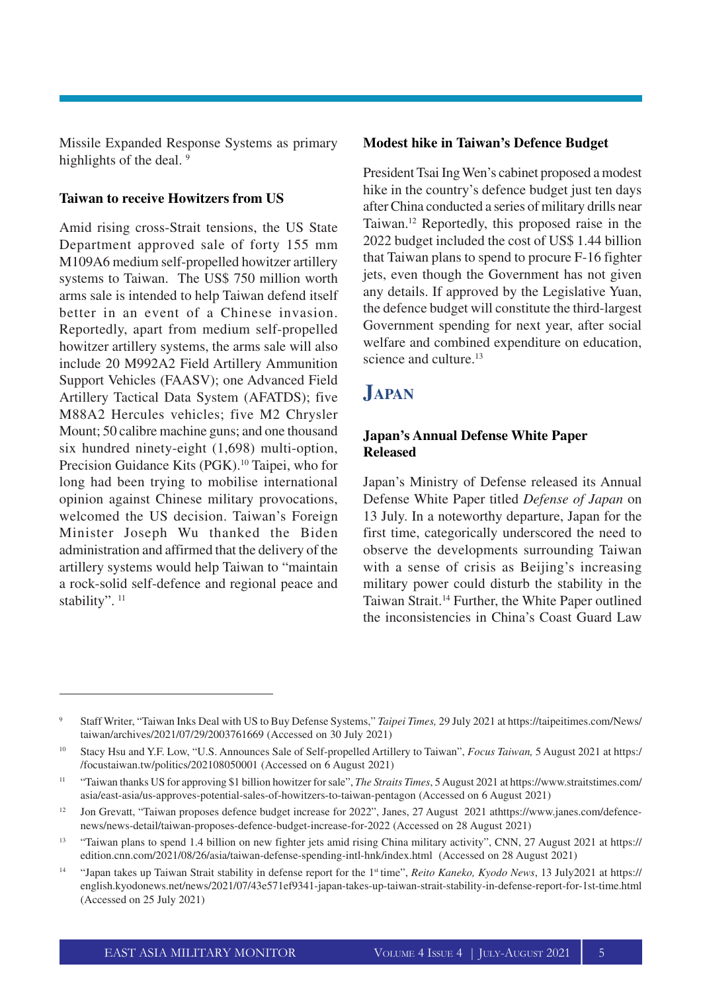Missile Expanded Response Systems as primary highlights of the deal. 9

#### **Taiwan to receive Howitzers from US**

Amid rising cross-Strait tensions, the US State Department approved sale of forty 155 mm M109A6 medium self-propelled howitzer artillery systems to Taiwan. The US\$ 750 million worth arms sale is intended to help Taiwan defend itself better in an event of a Chinese invasion. Reportedly, apart from medium self-propelled howitzer artillery systems, the arms sale will also include 20 M992A2 Field Artillery Ammunition Support Vehicles (FAASV); one Advanced Field Artillery Tactical Data System (AFATDS); five M88A2 Hercules vehicles; five M2 Chrysler Mount; 50 calibre machine guns; and one thousand six hundred ninety-eight (1,698) multi-option, Precision Guidance Kits (PGK).<sup>10</sup> Taipei, who for long had been trying to mobilise international opinion against Chinese military provocations, welcomed the US decision. Taiwan's Foreign Minister Joseph Wu thanked the Biden administration and affirmed that the delivery of the artillery systems would help Taiwan to "maintain a rock-solid self-defence and regional peace and stability". <sup>11</sup>

#### **Modest hike in Taiwan's Defence Budget**

President Tsai Ing Wen's cabinet proposed a modest hike in the country's defence budget just ten days after China conducted a series of military drills near Taiwan.<sup>12</sup> Reportedly, this proposed raise in the 2022 budget included the cost of US\$ 1.44 billion that Taiwan plans to spend to procure F-16 fighter jets, even though the Government has not given any details. If approved by the Legislative Yuan, the defence budget will constitute the third-largest Government spending for next year, after social welfare and combined expenditure on education, science and culture.<sup>13</sup>

# **JAPAN**

#### **Japan's Annual Defense White Paper Released**

Japan's Ministry of Defense released its Annual Defense White Paper titled *Defense of Japan* on 13 July. In a noteworthy departure, Japan for the first time, categorically underscored the need to observe the developments surrounding Taiwan with a sense of crisis as Beijing's increasing military power could disturb the stability in the Taiwan Strait.<sup>14</sup> Further, the White Paper outlined the inconsistencies in China's Coast Guard Law

<sup>9</sup> Staff Writer, "Taiwan Inks Deal with US to Buy Defense Systems," *Taipei Times,* 29 July 2021 at https://taipeitimes.com/News/ taiwan/archives/2021/07/29/2003761669 (Accessed on 30 July 2021)

<sup>10</sup> Stacy Hsu and Y.F. Low, "U.S. Announces Sale of Self-propelled Artillery to Taiwan", *Focus Taiwan,* 5 August 2021 at https:/ /focustaiwan.tw/politics/202108050001 (Accessed on 6 August 2021)

<sup>11</sup> "Taiwan thanks US for approving \$1 billion howitzer for sale", *The Straits Times*, 5 August 2021 at https://www.straitstimes.com/ asia/east-asia/us-approves-potential-sales-of-howitzers-to-taiwan-pentagon (Accessed on 6 August 2021)

<sup>&</sup>lt;sup>12</sup> Jon Grevatt, "Taiwan proposes defence budget increase for 2022", Janes, 27 August 2021 athttps://www.janes.com/defencenews/news-detail/taiwan-proposes-defence-budget-increase-for-2022 (Accessed on 28 August 2021)

<sup>&</sup>lt;sup>13</sup> "Taiwan plans to spend 1.4 billion on new fighter jets amid rising China military activity", CNN, 27 August 2021 at https:// edition.cnn.com/2021/08/26/asia/taiwan-defense-spending-intl-hnk/index.html (Accessed on 28 August 2021)

<sup>14</sup> "Japan takes up Taiwan Strait stability in defense report for the 1st time", *Reito Kaneko, Kyodo News*, 13 July2021 at https:// english.kyodonews.net/news/2021/07/43e571ef9341-japan-takes-up-taiwan-strait-stability-in-defense-report-for-1st-time.html (Accessed on 25 July 2021)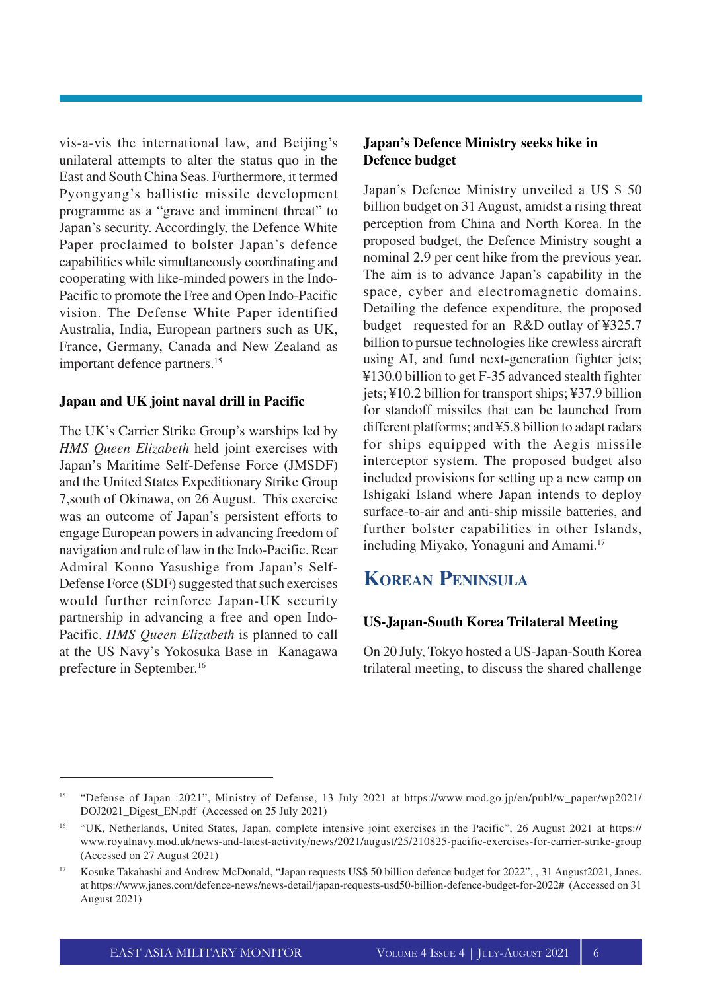vis-a-vis the international law, and Beijing's unilateral attempts to alter the status quo in the East and South China Seas. Furthermore, it termed Pyongyang's ballistic missile development programme as a "grave and imminent threat" to Japan's security. Accordingly, the Defence White Paper proclaimed to bolster Japan's defence capabilities while simultaneously coordinating and cooperating with like-minded powers in the Indo-Pacific to promote the Free and Open Indo-Pacific vision. The Defense White Paper identified Australia, India, European partners such as UK, France, Germany, Canada and New Zealand as important defence partners.<sup>15</sup>

#### **Japan and UK joint naval drill in Pacific**

The UK's Carrier Strike Group's warships led by *HMS Queen Elizabeth* held joint exercises with Japan's Maritime Self-Defense Force (JMSDF) and the United States Expeditionary Strike Group 7,south of Okinawa, on 26 August. This exercise was an outcome of Japan's persistent efforts to engage European powers in advancing freedom of navigation and rule of law in the Indo-Pacific. Rear Admiral Konno Yasushige from Japan's Self-Defense Force (SDF) suggested that such exercises would further reinforce Japan-UK security partnership in advancing a free and open Indo-Pacific. *HMS Queen Elizabeth* is planned to call at the US Navy's Yokosuka Base in Kanagawa prefecture in September. 16

#### **Japan's Defence Ministry seeks hike in Defence budget**

Japan's Defence Ministry unveiled a US \$ 50 billion budget on 31 August, amidst a rising threat perception from China and North Korea. In the proposed budget, the Defence Ministry sought a nominal 2.9 per cent hike from the previous year. The aim is to advance Japan's capability in the space, cyber and electromagnetic domains. Detailing the defence expenditure, the proposed budget requested for an R&D outlay of ¥325.7 billion to pursue technologies like crewless aircraft using AI, and fund next-generation fighter jets; ¥130.0 billion to get F-35 advanced stealth fighter jets; ¥10.2 billion for transport ships; ¥37.9 billion for standoff missiles that can be launched from different platforms; and ¥5.8 billion to adapt radars for ships equipped with the Aegis missile interceptor system. The proposed budget also included provisions for setting up a new camp on Ishigaki Island where Japan intends to deploy surface-to-air and anti-ship missile batteries, and further bolster capabilities in other Islands, including Miyako, Yonaguni and Amami.<sup>17</sup>

# **KOREAN PENINSULA**

#### **US-Japan-South Korea Trilateral Meeting**

On 20 July, Tokyo hosted a US-Japan-South Korea trilateral meeting, to discuss the shared challenge

<sup>15</sup> "Defense of Japan :2021", Ministry of Defense, 13 July 2021 at https://www.mod.go.jp/en/publ/w\_paper/wp2021/ DOJ2021\_Digest\_EN.pdf (Accessed on 25 July 2021)

<sup>16</sup> "UK, Netherlands, United States, Japan, complete intensive joint exercises in the Pacific", 26 August 2021 at https:// www.royalnavy.mod.uk/news-and-latest-activity/news/2021/august/25/210825-pacific-exercises-for-carrier-strike-group (Accessed on 27 August 2021)

<sup>17</sup> Kosuke Takahashi and Andrew McDonald, "Japan requests US\$ 50 billion defence budget for 2022", , 31 August2021, Janes. at https://www.janes.com/defence-news/news-detail/japan-requests-usd50-billion-defence-budget-for-2022# (Accessed on 31 August 2021)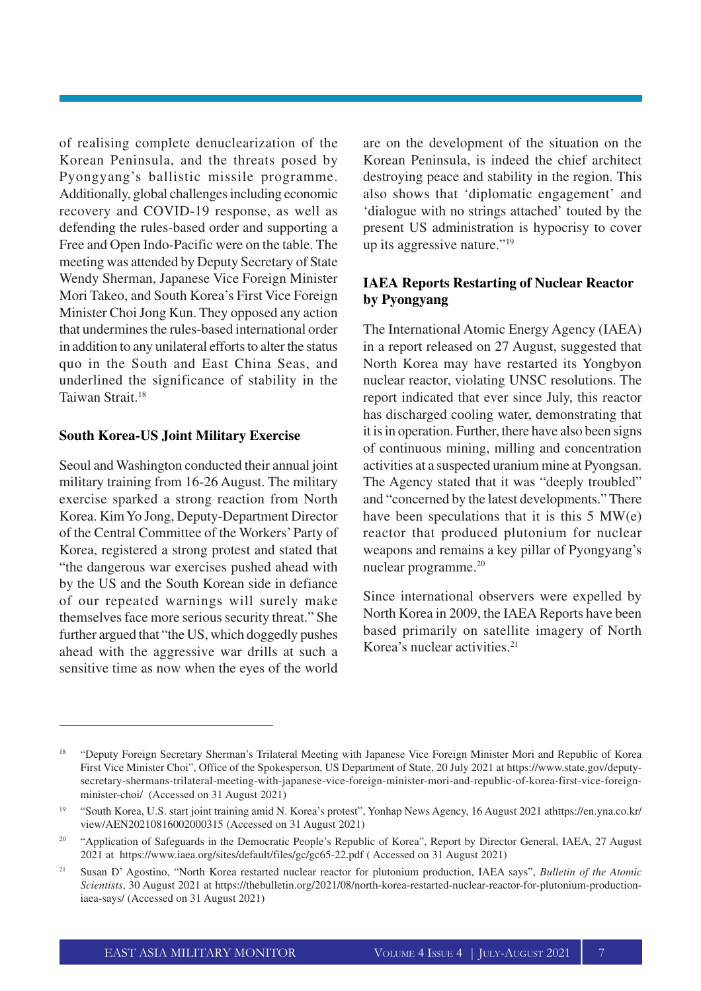of realising complete denuclearization of the Korean Peninsula, and the threats posed by Pyongyang's ballistic missile programme. Additionally, global challenges including economic recovery and COVID-19 response, as well as defending the rules-based order and supporting a Free and Open Indo-Pacific were on the table. The meeting was attended by Deputy Secretary of State Wendy Sherman, Japanese Vice Foreign Minister Mori Takeo, and South Korea's First Vice Foreign Minister Choi Jong Kun. They opposed any action that undermines the rules-based international order in addition to any unilateral efforts to alter the status quo in the South and East China Seas, and underlined the significance of stability in the Taiwan Strait.<sup>18</sup>

#### **South Korea-US Joint Military Exercise**

Seoul and Washington conducted their annual joint military training from 16-26 August. The military exercise sparked a strong reaction from North Korea. Kim Yo Jong, Deputy-Department Director of the Central Committee of the Workers' Party of Korea, registered a strong protest and stated that "the dangerous war exercises pushed ahead with by the US and the South Korean side in defiance of our repeated warnings will surely make themselves face more serious security threat." She further argued that "the US, which doggedly pushes ahead with the aggressive war drills at such a sensitive time as now when the eyes of the world are on the development of the situation on the Korean Peninsula, is indeed the chief architect destroying peace and stability in the region. This also shows that 'diplomatic engagement' and 'dialogue with no strings attached' touted by the present US administration is hypocrisy to cover up its aggressive nature."<sup>19</sup>

#### **IAEA Reports Restarting of Nuclear Reactor by Pyongyang**

The International Atomic Energy Agency (IAEA) in a report released on 27 August, suggested that North Korea may have restarted its Yongbyon nuclear reactor, violating UNSC resolutions. The report indicated that ever since July, this reactor has discharged cooling water, demonstrating that it is in operation. Further, there have also been signs of continuous mining, milling and concentration activities at a suspected uranium mine at Pyongsan. The Agency stated that it was "deeply troubled" and "concerned by the latest developments." There have been speculations that it is this 5 MW(e) reactor that produced plutonium for nuclear weapons and remains a key pillar of Pyongyang's nuclear programme. 20

Since international observers were expelled by North Korea in 2009, the IAEA Reports have been based primarily on satellite imagery of North Korea's nuclear activities.<sup>21</sup>

<sup>18</sup> "Deputy Foreign Secretary Sherman's Trilateral Meeting with Japanese Vice Foreign Minister Mori and Republic of Korea First Vice Minister Choi", Office of the Spokesperson, US Department of State, 20 July 2021 at https://www.state.gov/deputysecretary-shermans-trilateral-meeting-with-japanese-vice-foreign-minister-mori-and-republic-of-korea-first-vice-foreignminister-choi/ (Accessed on 31 August 2021)

<sup>19</sup> "South Korea, U.S. start joint training amid N. Korea's protest", Yonhap News Agency, 16 August 2021 athttps://en.yna.co.kr/ view/AEN20210816002000315 (Accessed on 31 August 2021)

<sup>&</sup>lt;sup>20</sup> "Application of Safeguards in the Democratic People's Republic of Korea", Report by Director General, IAEA, 27 August 2021 at https://www.iaea.org/sites/default/files/gc/gc65-22.pdf ( Accessed on 31 August 2021)

<sup>21</sup> Susan D' Agostino, "North Korea restarted nuclear reactor for plutonium production, IAEA says", *Bulletin of the Atomic Scientists*, 30 August 2021 at https://thebulletin.org/2021/08/north-korea-restarted-nuclear-reactor-for-plutonium-productioniaea-says/ (Accessed on 31 August 2021)